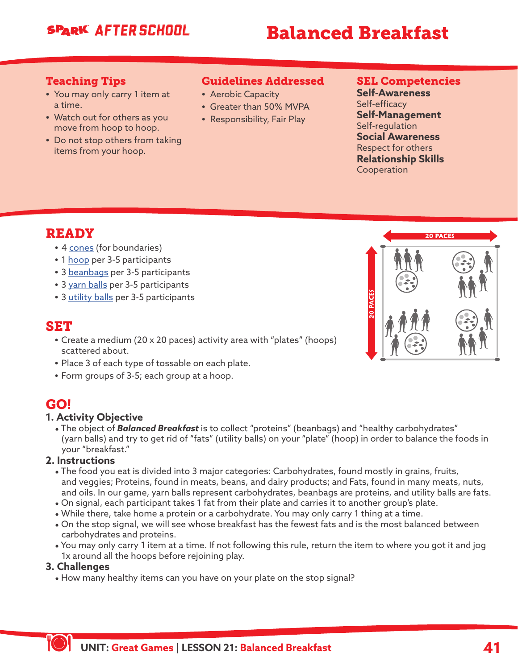## **SPARK AFTER SCHOOL**

# Balanced Breakfast

### Teaching Tips

- **•** You may only carry 1 item at a time.
- **•** Watch out for others as you move from hoop to hoop.
- **•** Do not stop others from taking items from your hoop.

## Guidelines Addressed

- **•** Aerobic Capacity
- **•** Greater than 50% MVPA
- **•** Responsibility, Fair Play

### SEL Competencies

**Self-Awareness** Self-efficacy **Self-Management** Self-regulation **Social Awareness** Respect for others **Relationship Skills** Cooperation

## READY

- **•** 4 [cones](https://www.gophersport.com/after-school/games) (for boundaries)
- **•** 1 [hoop](https://www.gophersport.com/after-school/games) per 3-5 participants
- **•** 3 [beanbags](https://www.gophersport.com/after-school/games) per 3-5 participants
- **•** 3 [yarn balls](https://www.gophersport.com/after-school/games) per 3-5 participants
- **•** 3 [utility balls](https://www.gophersport.com/after-school/games) per 3-5 participants

## SET

- **•** Create a medium (20 x 20 paces) activity area with "plates" (hoops) scattered about.
- **•** Place 3 of each type of tossable on each plate.
- **•** Form groups of 3-5; each group at a hoop.

## GO!

#### **1. Activity Objective**

\* The object of *Balanced Breakfast* is to collect "proteins" (beanbags) and "healthy carbohydrates" (yarn balls) and try to get rid of "fats" (utility balls) on your "plate" (hoop) in order to balance the foods in your "breakfast."

#### **2. Instructions**

- \* The food you eat is divided into 3 major categories: Carbohydrates, found mostly in grains, fruits, and veggies; Proteins, found in meats, beans, and dairy products; and Fats, found in many meats, nuts, and oils. In our game, yarn balls represent carbohydrates, beanbags are proteins, and utility balls are fats.
- \* On signal, each participant takes 1 fat from their plate and carries it to another group's plate.
- While there, take home a protein or a carbohydrate. You may only carry 1 thing at a time.
- \* On the stop signal, we will see whose breakfast has the fewest fats and is the most balanced between carbohydrates and proteins.
- \* You may only carry 1 item at a time. If not following this rule, return the item to where you got it and jog 1x around all the hoops before rejoining play.

#### **3. Challenges**

• How many healthy items can you have on your plate on the stop signal?